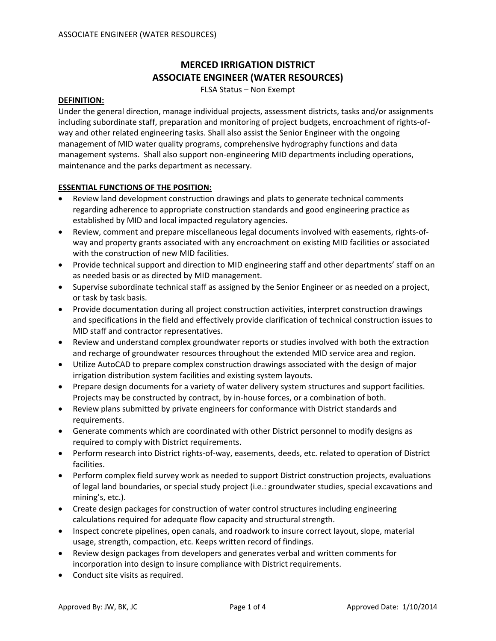# **MERCED IRRIGATION DISTRICT ASSOCIATE ENGINEER (WATER RESOURCES)**

FLSA Status – Non Exempt

#### **DEFINITION:**

Under the general direction, manage individual projects, assessment districts, tasks and/or assignments including subordinate staff, preparation and monitoring of project budgets, encroachment of rights‐of‐ way and other related engineering tasks. Shall also assist the Senior Engineer with the ongoing management of MID water quality programs, comprehensive hydrography functions and data management systems. Shall also support non-engineering MID departments including operations, maintenance and the parks department as necessary.

# **ESSENTIAL FUNCTIONS OF THE POSITION:**

- Review land development construction drawings and plats to generate technical comments regarding adherence to appropriate construction standards and good engineering practice as established by MID and local impacted regulatory agencies.
- Review, comment and prepare miscellaneous legal documents involved with easements, rights‐of‐ way and property grants associated with any encroachment on existing MID facilities or associated with the construction of new MID facilities.
- Provide technical support and direction to MID engineering staff and other departments' staff on an as needed basis or as directed by MID management.
- Supervise subordinate technical staff as assigned by the Senior Engineer or as needed on a project, or task by task basis.
- Provide documentation during all project construction activities, interpret construction drawings and specifications in the field and effectively provide clarification of technical construction issues to MID staff and contractor representatives.
- Review and understand complex groundwater reports or studies involved with both the extraction and recharge of groundwater resources throughout the extended MID service area and region.
- Utilize AutoCAD to prepare complex construction drawings associated with the design of major irrigation distribution system facilities and existing system layouts.
- Prepare design documents for a variety of water delivery system structures and support facilities. Projects may be constructed by contract, by in‐house forces, or a combination of both.
- Review plans submitted by private engineers for conformance with District standards and requirements.
- Generate comments which are coordinated with other District personnel to modify designs as required to comply with District requirements.
- Perform research into District rights‐of‐way, easements, deeds, etc. related to operation of District facilities.
- Perform complex field survey work as needed to support District construction projects, evaluations of legal land boundaries, or special study project (i.e.: groundwater studies, special excavations and mining's, etc.).
- Create design packages for construction of water control structures including engineering calculations required for adequate flow capacity and structural strength.
- Inspect concrete pipelines, open canals, and roadwork to insure correct layout, slope, material usage, strength, compaction, etc. Keeps written record of findings.
- Review design packages from developers and generates verbal and written comments for incorporation into design to insure compliance with District requirements.
- Conduct site visits as required.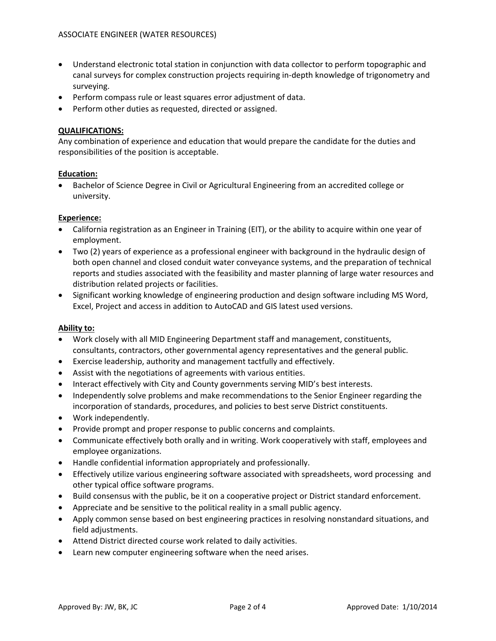- Understand electronic total station in conjunction with data collector to perform topographic and canal surveys for complex construction projects requiring in‐depth knowledge of trigonometry and surveying.
- Perform compass rule or least squares error adjustment of data.
- Perform other duties as requested, directed or assigned.

## **QUALIFICATIONS:**

Any combination of experience and education that would prepare the candidate for the duties and responsibilities of the position is acceptable.

## **Education:**

• Bachelor of Science Degree in Civil or Agricultural Engineering from an accredited college or university.

## **Experience:**

- California registration as an Engineer in Training (EIT), or the ability to acquire within one year of employment.
- Two (2) years of experience as a professional engineer with background in the hydraulic design of both open channel and closed conduit water conveyance systems, and the preparation of technical reports and studies associated with the feasibility and master planning of large water resources and distribution related projects or facilities.
- Significant working knowledge of engineering production and design software including MS Word, Excel, Project and access in addition to AutoCAD and GIS latest used versions.

#### **Ability to:**

- Work closely with all MID Engineering Department staff and management, constituents, consultants, contractors, other governmental agency representatives and the general public.
- Exercise leadership, authority and management tactfully and effectively.
- Assist with the negotiations of agreements with various entities.
- Interact effectively with City and County governments serving MID's best interests.
- Independently solve problems and make recommendations to the Senior Engineer regarding the incorporation of standards, procedures, and policies to best serve District constituents.
- Work independently.
- Provide prompt and proper response to public concerns and complaints.
- Communicate effectively both orally and in writing. Work cooperatively with staff, employees and employee organizations.
- Handle confidential information appropriately and professionally.
- Effectively utilize various engineering software associated with spreadsheets, word processing and other typical office software programs.
- Build consensus with the public, be it on a cooperative project or District standard enforcement.
- Appreciate and be sensitive to the political reality in a small public agency.
- Apply common sense based on best engineering practices in resolving nonstandard situations, and field adjustments.
- Attend District directed course work related to daily activities.
- Learn new computer engineering software when the need arises.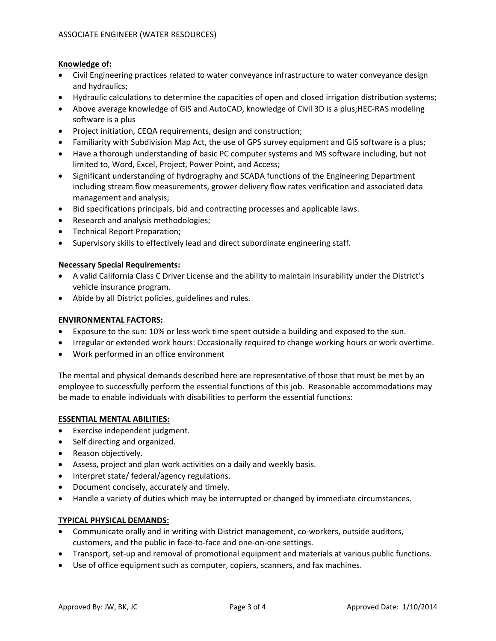# **Knowledge of:**

- Civil Engineering practices related to water conveyance infrastructure to water conveyance design and hydraulics;
- Hydraulic calculations to determine the capacities of open and closed irrigation distribution systems;
- Above average knowledge of GIS and AutoCAD, knowledge of Civil 3D is a plus;HEC-RAS modeling software is a plus
- Project initiation, CEQA requirements, design and construction;
- Familiarity with Subdivision Map Act, the use of GPS survey equipment and GIS software is a plus;
- Have a thorough understanding of basic PC computer systems and MS software including, but not limited to, Word, Excel, Project, Power Point, and Access;
- Significant understanding of hydrography and SCADA functions of the Engineering Department including stream flow measurements, grower delivery flow rates verification and associated data management and analysis;
- Bid specifications principals, bid and contracting processes and applicable laws.
- Research and analysis methodologies;
- Technical Report Preparation;
- Supervisory skills to effectively lead and direct subordinate engineering staff.

# **Necessary Special Requirements:**

- A valid California Class C Driver License and the ability to maintain insurability under the District's vehicle insurance program.
- Abide by all District policies, guidelines and rules.

## **ENVIRONMENTAL FACTORS:**

- Exposure to the sun: 10% or less work time spent outside a building and exposed to the sun.
- Irregular or extended work hours: Occasionally required to change working hours or work overtime.
- Work performed in an office environment

The mental and physical demands described here are representative of those that must be met by an employee to successfully perform the essential functions of this job. Reasonable accommodations may be made to enable individuals with disabilities to perform the essential functions:

## **ESSENTIAL MENTAL ABILITIES:**

- Exercise independent judgment.
- Self directing and organized.
- Reason objectively.
- Assess, project and plan work activities on a daily and weekly basis.
- Interpret state/ federal/agency regulations.
- Document concisely, accurately and timely.
- Handle a variety of duties which may be interrupted or changed by immediate circumstances.

#### **TYPICAL PHYSICAL DEMANDS:**

- Communicate orally and in writing with District management, co-workers, outside auditors, customers, and the public in face‐to‐face and one‐on‐one settings.
- Transport, set-up and removal of promotional equipment and materials at various public functions.
- Use of office equipment such as computer, copiers, scanners, and fax machines.